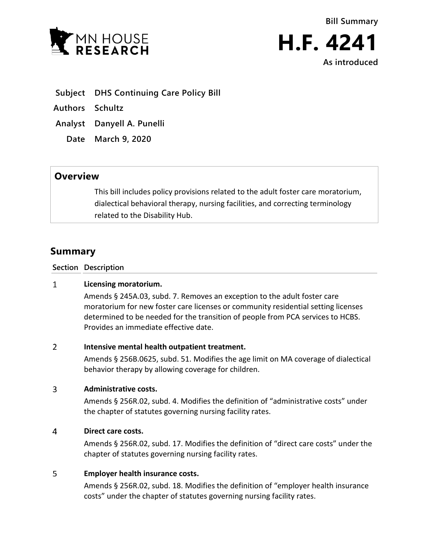



- **Subject DHS Continuing Care Policy Bill**
- **Authors Schultz**
- **Analyst Danyell A. Punelli**
	- **Date March 9, 2020**

# **Overview**

This bill includes policy provisions related to the adult foster care moratorium, dialectical behavioral therapy, nursing facilities, and correcting terminology related to the Disability Hub.

# **Summary**

**Section Description**

#### $\mathbf{1}$ **Licensing moratorium.**

Amends § 245A.03, subd. 7. Removes an exception to the adult foster care moratorium for new foster care licenses or community residential setting licenses determined to be needed for the transition of people from PCA services to HCBS. Provides an immediate effective date.

# $\overline{2}$ **Intensive mental health outpatient treatment.**

Amends § 256B.0625, subd. 51. Modifies the age limit on MA coverage of dialectical behavior therapy by allowing coverage for children.

# 3 **Administrative costs.**

Amends § 256R.02, subd. 4. Modifies the definition of "administrative costs" under the chapter of statutes governing nursing facility rates.

#### $\overline{4}$ **Direct care costs.**

Amends § 256R.02, subd. 17. Modifies the definition of "direct care costs" under the chapter of statutes governing nursing facility rates.

# 5 **Employer health insurance costs.**

Amends § 256R.02, subd. 18. Modifies the definition of "employer health insurance costs" under the chapter of statutes governing nursing facility rates.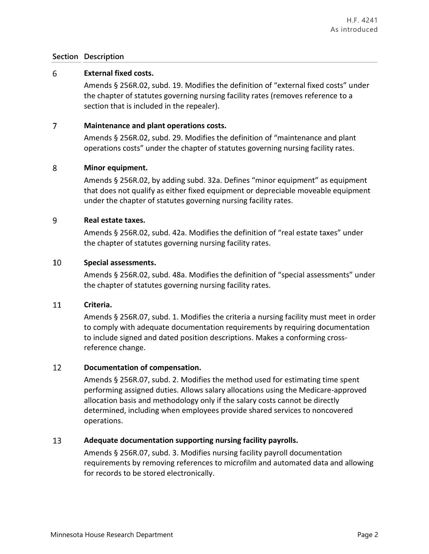# **Section Description**

# 6 **External fixed costs.**

Amends § 256R.02, subd. 19. Modifies the definition of "external fixed costs" under the chapter of statutes governing nursing facility rates (removes reference to a section that is included in the repealer).

### $\overline{7}$ **Maintenance and plant operations costs.**

Amends § 256R.02, subd. 29. Modifies the definition of "maintenance and plant operations costs" under the chapter of statutes governing nursing facility rates.

## 8 **Minor equipment.**

Amends § 256R.02, by adding subd. 32a. Defines "minor equipment" as equipment that does not qualify as either fixed equipment or depreciable moveable equipment under the chapter of statutes governing nursing facility rates.

#### 9 **Real estate taxes.**

Amends § 256R.02, subd. 42a. Modifies the definition of "real estate taxes" under the chapter of statutes governing nursing facility rates.

## 10 **Special assessments.**

Amends § 256R.02, subd. 48a. Modifies the definition of "special assessments" under the chapter of statutes governing nursing facility rates.

#### 11 **Criteria.**

Amends § 256R.07, subd. 1. Modifies the criteria a nursing facility must meet in order to comply with adequate documentation requirements by requiring documentation to include signed and dated position descriptions. Makes a conforming crossreference change.

# 12 **Documentation of compensation.**

Amends § 256R.07, subd. 2. Modifies the method used for estimating time spent performing assigned duties. Allows salary allocations using the Medicare-approved allocation basis and methodology only if the salary costs cannot be directly determined, including when employees provide shared services to noncovered operations.

#### 13 **Adequate documentation supporting nursing facility payrolls.**

Amends § 256R.07, subd. 3. Modifies nursing facility payroll documentation requirements by removing references to microfilm and automated data and allowing for records to be stored electronically.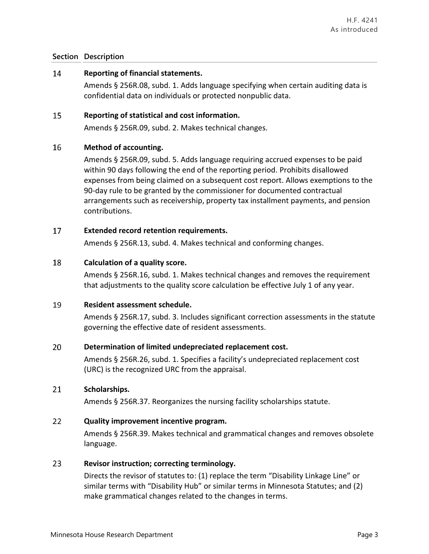# **Section Description**

#### 14 **Reporting of financial statements.**

Amends § 256R.08, subd. 1. Adds language specifying when certain auditing data is confidential data on individuals or protected nonpublic data.

#### 15 **Reporting of statistical and cost information.**

Amends § 256R.09, subd. 2. Makes technical changes.

# 16 **Method of accounting.**

Amends § 256R.09, subd. 5. Adds language requiring accrued expenses to be paid within 90 days following the end of the reporting period. Prohibits disallowed expenses from being claimed on a subsequent cost report. Allows exemptions to the 90-day rule to be granted by the commissioner for documented contractual arrangements such as receivership, property tax installment payments, and pension contributions.

# 17 **Extended record retention requirements.**

Amends § 256R.13, subd. 4. Makes technical and conforming changes.

## 18 **Calculation of a quality score.**

Amends § 256R.16, subd. 1. Makes technical changes and removes the requirement that adjustments to the quality score calculation be effective July 1 of any year.

#### 19 **Resident assessment schedule.**

Amends § 256R.17, subd. 3. Includes significant correction assessments in the statute governing the effective date of resident assessments.

#### 20 **Determination of limited undepreciated replacement cost.**

Amends § 256R.26, subd. 1. Specifies a facility's undepreciated replacement cost (URC) is the recognized URC from the appraisal.

# 21 **Scholarships.**

Amends § 256R.37. Reorganizes the nursing facility scholarships statute.

# 22 **Quality improvement incentive program.**

Amends § 256R.39. Makes technical and grammatical changes and removes obsolete language.

#### 23 **Revisor instruction; correcting terminology.**

Directs the revisor of statutes to: (1) replace the term "Disability Linkage Line" or similar terms with "Disability Hub" or similar terms in Minnesota Statutes; and (2) make grammatical changes related to the changes in terms.